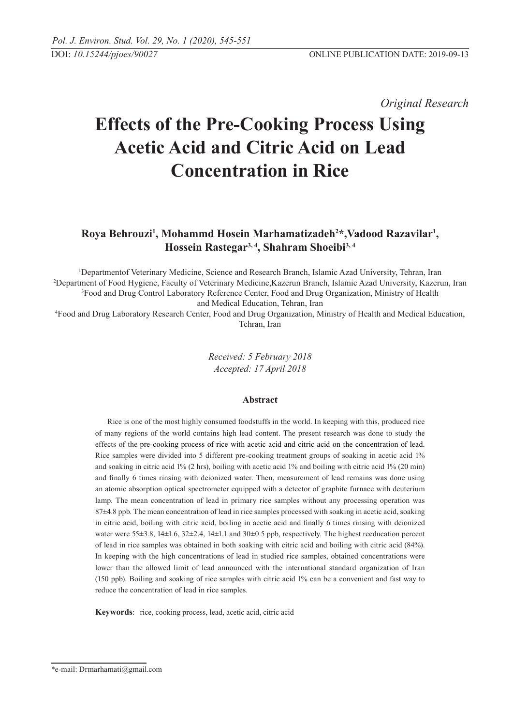*Original Research* 

# **Effects of the Pre-Cooking Process Using Acetic Acid and Citric Acid on Lead Concentration in Rice**

# Roya Behrouzi<sup>1</sup>, Mohammd Hosein Marhamatizadeh<sup>2\*</sup>, Vadood Razavilar<sup>1</sup>, **Hossein Rastegar3, 4, Shahram Shoeibi3, 4**

 Departmentof Veterinary Medicine, Science and Research Branch, Islamic Azad University, Tehran, Iran Department of Food Hygiene, Faculty of Veterinary Medicine,Kazerun Branch, Islamic Azad University, Kazerun, Iran Food and Drug Control Laboratory Reference Center, Food and Drug Organization, Ministry of Health and Medical Education, Tehran, Iran

4 Food and Drug Laboratory Research Center, Food and Drug Organization, Ministry of Health and Medical Education, Tehran, Iran

> *Received: 5 February 2018 Accepted: 17 April 2018*

### **Abstract**

Rice is one of the most highly consumed foodstuffs in the world. In keeping with this, produced rice of many regions of the world contains high lead content. The present research was done to study the effects of the pre-cooking process of rice with acetic acid and citric acid on the concentration of lead. Rice samples were divided into 5 different pre-cooking treatment groups of soaking in acetic acid 1% and soaking in citric acid 1% (2 hrs), boiling with acetic acid 1% and boiling with citric acid 1% (20 min) and finally 6 times rinsing with deionized water. Then, measurement of lead remains was done using an atomic absorption optical spectrometer equipped with a detector of graphite furnace with deuterium lamp. The mean concentration of lead in primary rice samples without any processing operation was 87±4.8 ppb. The mean concentration of lead in rice samples processed with soaking in acetic acid, soaking in citric acid, boiling with citric acid, boiling in acetic acid and finally 6 times rinsing with deionized water were 55±3.8, 14±1.6, 32±2.4, 14±1.1 and 30±0.5 ppb, respectively. The highest reeducation percent of lead in rice samples was obtained in both soaking with citric acid and boiling with citric acid (84%). In keeping with the high concentrations of lead in studied rice samples, obtained concentrations were lower than the allowed limit of lead announced with the international standard organization of Iran (150 ppb). Boiling and soaking of rice samples with citric acid 1% can be a convenient and fast way to reduce the concentration of lead in rice samples.

**Keywords**: rice, cooking process, lead, acetic acid, citric acid

<sup>\*</sup>e-mail: Drmarhamati@gmail.com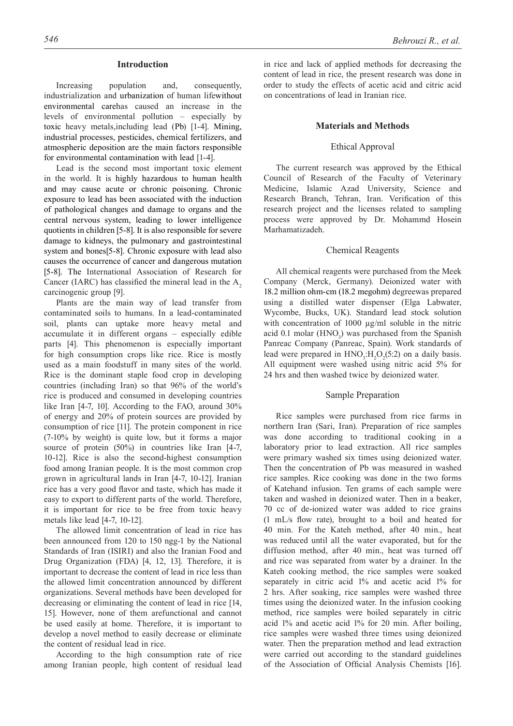#### **Introduction**

Increasing population and, consequently, industrialization and urbanization of human lifewithout environmental carehas caused an increase in the levels of environmental pollution – especially by toxic heavy metals,including lead (Pb) [1-4]. Mining, industrial processes, pesticides, chemical fertilizers, and atmospheric deposition are the main factors responsible for environmental contamination with lead [1-4].

Lead is the second most important toxic element in the world. It is highly hazardous to human health and may cause acute or chronic poisoning. Chronic exposure to lead has been associated with the induction of pathological changes and damage to organs and the central nervous system, leading to lower intelligence quotients in children [5-8]. It is also responsible for severe damage to kidneys, the pulmonary and gastrointestinal system and bones[5-8]. Chronic exposure with lead also causes the occurrence of cancer and dangerous mutation [5-8]. The International Association of Research for Cancer (IARC) has classified the mineral lead in the  $A<sub>2</sub>$ carcinogenic group [9].

Plants are the main way of lead transfer from contaminated soils to humans. In a lead-contaminated soil, plants can uptake more heavy metal and accumulate it in different organs – especially edible parts [4]. This phenomenon is especially important for high consumption crops like rice. Rice is mostly used as a main foodstuff in many sites of the world. Rice is the dominant staple food crop in developing countries (including Iran) so that 96% of the world's rice is produced and consumed in developing countries like Iran [4-7, 10]. According to the FAO, around 30% of energy and 20% of protein sources are provided by consumption of rice [11]. The protein component in rice (7-10% by weight) is quite low, but it forms a major source of protein (50%) in countries like Iran [4-7, 10-12]. Rice is also the second-highest consumption food among Iranian people. It is the most common crop grown in agricultural lands in Iran [4-7, 10-12]. Iranian rice has a very good flavor and taste, which has made it easy to export to different parts of the world. Therefore, it is important for rice to be free from toxic heavy metals like lead [4-7, 10-12].

The allowed limit concentration of lead in rice has been announced from 120 to 150 ngg-1 by the National Standards of Iran (ISIRI) and also the Iranian Food and Drug Organization (FDA) [4, 12, 13]. Therefore, it is important to decrease the content of lead in rice less than the allowed limit concentration announced by different organizations. Several methods have been developed for decreasing or eliminating the content of lead in rice [14, 15]. However, none of them arefunctional and cannot be used easily at home. Therefore, it is important to develop a novel method to easily decrease or eliminate the content of residual lead in rice.

According to the high consumption rate of rice among Iranian people, high content of residual lead

in rice and lack of applied methods for decreasing the content of lead in rice, the present research was done in order to study the effects of acetic acid and citric acid on concentrations of lead in Iranian rice.

#### **Materials and Methods**

#### Ethical Approval

The current research was approved by the Ethical Council of Research of the Faculty of Veterinary Medicine, Islamic Azad University, Science and Research Branch, Tehran, Iran. Verification of this research project and the licenses related to sampling process were approved by Dr. Mohammd Hosein Marhamatizadeh.

#### Chemical Reagents

All chemical reagents were purchased from the Meek Company (Merck, Germany). Deionized water with 18.2 million ohm-cm (18.2 megohm) degreewas prepared using a distilled water dispenser (Elga Labwater, Wycombe, Bucks, UK). Standard lead stock solution with concentration of 1000 µg/ml soluble in the nitric acid 0.1 molar  $(HNO<sub>3</sub>)$  was purchased from the Spanish Panreac Company (Panreac, Spain). Work standards of lead were prepared in  $HNO<sub>3</sub>:H<sub>2</sub>O<sub>2</sub>(5:2)$  on a daily basis. All equipment were washed using nitric acid 5% for 24 hrs and then washed twice by deionized water.

#### Sample Preparation

Rice samples were purchased from rice farms in northern Iran (Sari, Iran). Preparation of rice samples was done according to traditional cooking in a laboratory prior to lead extraction. All rice samples were primary washed six times using deionized water. Then the concentration of Pb was measured in washed rice samples. Rice cooking was done in the two forms of Katehand infusion. Ten grams of each sample were taken and washed in deionized water. Then in a beaker, 70 cc of de-ionized water was added to rice grains (1 mL/s flow rate), brought to a boil and heated for 40 min. For the Kateh method, after 40 min., heat was reduced until all the water evaporated, but for the diffusion method, after 40 min., heat was turned off and rice was separated from water by a drainer. In the Kateh cooking method, the rice samples were soaked separately in citric acid 1% and acetic acid 1% for 2 hrs. After soaking, rice samples were washed three times using the deionized water. In the infusion cooking method, rice samples were boiled separately in citric acid 1% and acetic acid 1% for 20 min. After boiling, rice samples were washed three times using deionized water. Then the preparation method and lead extraction were carried out according to the standard guidelines of the Association of Official Analysis Chemists [16].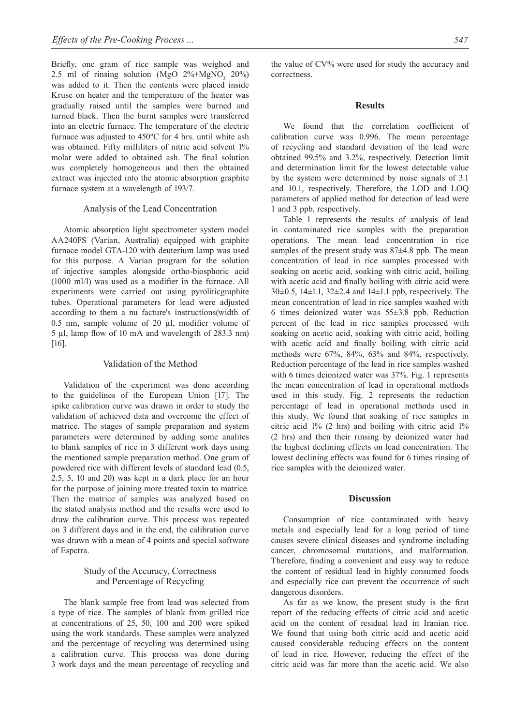Briefly, one gram of rice sample was weighed and 2.5 ml of rinsing solution (MgO  $2\% + MgNO_3$  20%) was added to it. Then the contents were placed inside Kruse on heater and the temperature of the heater was gradually raised until the samples were burned and turned black. Then the burnt samples were transferred into an electric furnace. The temperature of the electric furnace was adjusted to 450ºC for 4 hrs. until white ash was obtained. Fifty milliliters of nitric acid solvent  $1\%$ molar were added to obtained ash. The final solution was completely homogeneous and then the obtained extract was injected into the atomic absorption graphite furnace system at a wavelength of 193/7.

#### Analysis of the Lead Concentration

Atomic absorption light spectrometer system model AA240FS (Varian, Australia) equipped with graphite furnace model GTA-120 with deuterium lamp was used for this purpose. A Varian program for the solution of injective samples alongside ortho-biosphoric acid (1000 ml/l) was used as a modifier in the furnace. All experiments were carried out using pyroliticgraphite tubes. Operational parameters for lead were adjusted according to them a nu facture's instructions(width of 0.5 nm, sample volume of 20  $\mu$ l, modifier volume of 5 µl, lamp flow of 10 mA and wavelength of 283.3 nm) [16].

#### Validation of the Method

Validation of the experiment was done according to the guidelines of the European Union [17]. The spike calibration curve was drawn in order to study the validation of achieved data and overcome the effect of matrice. The stages of sample preparation and system parameters were determined by adding some analites to blank samples of rice in 3 different work days using the mentioned sample preparation method. One gram of powdered rice with different levels of standard lead (0.5, 2.5, 5, 10 and 20) was kept in a dark place for an hour for the purpose of joining more treated toxin to matrice. Then the matrice of samples was analyzed based on the stated analysis method and the results were used to draw the calibration curve. This process was repeated on 3 different days and in the end, the calibration curve was drawn with a mean of 4 points and special software of Espctra.

#### Study of the Accuracy, Correctness and Percentage of Recycling

The blank sample free from lead was selected from a type of rice. The samples of blank from grilled rice at concentrations of 25, 50, 100 and 200 were spiked using the work standards. These samples were analyzed and the percentage of recycling was determined using a calibration curve. This process was done during 3 work days and the mean percentage of recycling and the value of CV% were used for study the accuracy and correctness.

#### **Results**

We found that the correlation coefficient of calibration curve was 0.996. The mean percentage of recycling and standard deviation of the lead were obtained 99.5% and 3.2%, respectively. Detection limit and determination limit for the lowest detectable value by the system were determined by noise signals of 3.1 and 10.1, respectively. Therefore, the LOD and LOQ parameters of applied method for detection of lead were 1 and 3 ppb, respectively.

Table 1 represents the results of analysis of lead in contaminated rice samples with the preparation operations. The mean lead concentration in rice samples of the present study was  $87\pm4.8$  ppb. The mean concentration of lead in rice samples processed with soaking on acetic acid, soaking with citric acid, boiling with acetic acid and finally boiling with citric acid were 30 $\pm$ 0.5, 14 $\pm$ 1.1, 32 $\pm$ 2.4 and 14 $\pm$ 1.1 ppb, respectively. The mean concentration of lead in rice samples washed with 6 times deionized water was 55±3.8 ppb. Reduction percent of the lead in rice samples processed with soaking on acetic acid, soaking with citric acid, boiling with acetic acid and finally boiling with citric acid methods were 67%, 84%, 63% and 84%, respectively. Reduction percentage of the lead in rice samples washed with 6 times deionized water was  $37\%$ . Fig. 1 represents the mean concentration of lead in operational methods used in this study. Fig. 2 represents the reduction percentage of lead in operational methods used in this study. We found that soaking of rice samples in citric acid 1% (2 hrs) and boiling with citric acid 1% (2 hrs) and then their rinsing by deionized water had the highest declining effects on lead concentration. The lowest declining effects was found for 6 times rinsing of rice samples with the deionized water.

#### **Discussion**

Consumption of rice contaminated with heavy metals and especially lead for a long period of time causes severe clinical diseases and syndrome including cancer, chromosomal mutations, and malformation. Therefore, finding a convenient and easy way to reduce the content of residual lead in highly consumed foods and especially rice can prevent the occurrence of such dangerous disorders.

As far as we know, the present study is the first report of the reducing effects of citric acid and acetic acid on the content of residual lead in Iranian rice. We found that using both citric acid and acetic acid caused considerable reducing effects on the content of lead in rice. However, reducing the effect of the citric acid was far more than the acetic acid. We also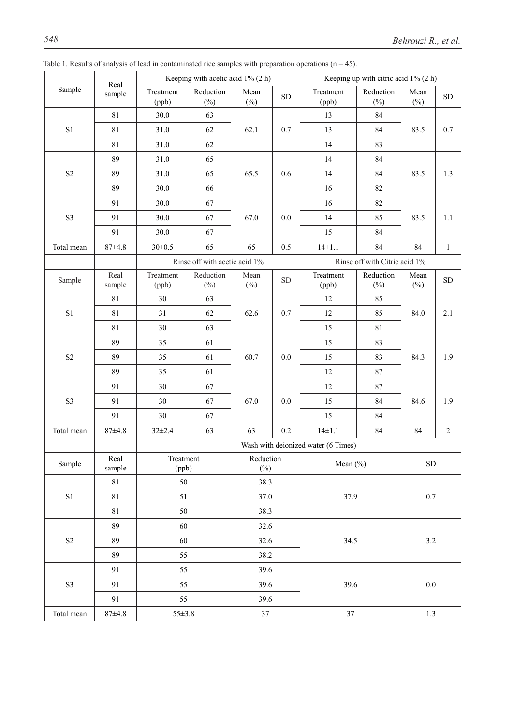| Sample                     | Real<br>sample | Keeping with acetic acid $1\%$ (2 h) |                     |                     |                               | Keeping up with citric acid $1\%$ (2 h) |                     |                |              |
|----------------------------|----------------|--------------------------------------|---------------------|---------------------|-------------------------------|-----------------------------------------|---------------------|----------------|--------------|
|                            |                | Treatment<br>(ppb)                   | Reduction<br>$(\%)$ | Mean<br>$(\%)$      | ${\rm SD}$                    | Treatment<br>(ppb)                      | Reduction<br>$(\%)$ | Mean<br>$(\%)$ | ${\rm SD}$   |
| $\rm S1$                   | 81             | 30.0                                 | 63                  | 62.1                |                               | 13                                      | 84                  | 83.5           | 0.7          |
|                            | 81             | 31.0                                 | 62                  |                     | 0.7                           | 13                                      | 84                  |                |              |
|                            | 81             | 31.0                                 | 62                  |                     |                               | 14                                      | 83                  |                |              |
| $\rm S2$                   | 89             | 31.0                                 | 65                  | 65.5                |                               | 14                                      | 84                  | 83.5           | 1.3          |
|                            | 89             | 31.0                                 | 65                  |                     | 0.6                           | 14                                      | 84                  |                |              |
|                            | 89             | 30.0                                 | 66                  |                     |                               | 16                                      | 82                  |                |              |
| S3                         | 91             | 30.0                                 | 67                  | 67.0                |                               | 16                                      | 82                  | 83.5           | 1.1          |
|                            | 91             | 30.0                                 | 67                  |                     | 0.0                           | 14                                      | 85                  |                |              |
|                            | 91             | 30.0                                 | 67                  |                     |                               | 15                                      | 84                  |                |              |
| Total mean                 | $87 + 4.8$     | $30 \pm 0.5$                         | 65                  | 65                  | 0.5                           | $14 \pm 1.1$                            | 84                  | 84             | $\mathbf{1}$ |
|                            |                | Rinse off with acetic acid 1%        |                     |                     | Rinse off with Citric acid 1% |                                         |                     |                |              |
| Sample                     | Real<br>sample | Treatment<br>(ppb)                   | Reduction<br>$(\%)$ | Mean<br>$(\%)$      | ${\rm SD}$                    | Treatment<br>(ppb)                      | Reduction<br>$(\%)$ | Mean<br>$(\%)$ | ${\rm SD}$   |
| $\rm S1$                   | $81\,$         | 30                                   | 63                  | 62.6                |                               | 12                                      | 85                  | 84.0           | 2.1          |
|                            | $81\,$         | 31                                   | 62                  |                     | 0.7                           | 12                                      | 85                  |                |              |
|                            | $81\,$         | 30                                   | 63                  |                     |                               | 15                                      | $8\sqrt{1}$         |                |              |
| S <sub>2</sub>             | 89             | 35                                   | 61                  | 60.7                |                               | 15                                      | 83                  | 84.3           | 1.9          |
|                            | 89             | 35                                   | 61                  |                     | 0.0                           | 15                                      | 83                  |                |              |
|                            | 89             | 35                                   | 61                  |                     |                               | 12                                      | 87                  |                |              |
| S3                         | 91             | 30                                   | 67                  | 67.0                | $0.0\,$                       | $12\,$                                  | $87\,$              | 84.6           | 1.9          |
|                            | 91             | 30                                   | 67                  |                     |                               | 15                                      | 84                  |                |              |
|                            | 91             | $30\,$                               | 67                  |                     |                               | 15                                      | 84                  |                |              |
| Total mean                 | $87 + 4.8$     | $32 \pm 2.4$                         | 63                  | 63                  | 0.2                           | $14 \pm 1.1$                            | 84                  | 84             | $\sqrt{2}$   |
|                            |                | Wash with deionized water (6 Times)  |                     |                     |                               |                                         |                     |                |              |
| Sample                     | Real<br>sample | Treatment<br>(ppb)                   |                     | Reduction<br>$(\%)$ |                               | Mean (%)                                |                     | ${\rm SD}$     |              |
| $\rm S1$                   | $81\,$         | 50                                   |                     | 38.3                |                               | 37.9                                    |                     | 0.7            |              |
|                            | 81             |                                      | 51                  |                     | 37.0                          |                                         |                     |                |              |
|                            | 81             | 50                                   |                     | 38.3                |                               |                                         |                     |                |              |
| $\ensuremath{\mathrm{S2}}$ | 89             | 60                                   |                     | 32.6                |                               | 34.5                                    |                     | $3.2\,$        |              |
|                            | 89             | 60                                   |                     | 32.6                |                               |                                         |                     |                |              |
|                            | 89             | 55                                   |                     | 38.2                |                               |                                         |                     |                |              |
| S3                         | 91             | 55                                   |                     | 39.6                |                               | 39.6                                    |                     | $0.0\,$        |              |
|                            | 91             | 55                                   |                     | 39.6                |                               |                                         |                     |                |              |
|                            | 91             |                                      | 55                  |                     | 39.6                          |                                         |                     |                |              |
| Total mean                 | $87 + 4.8$     | $55 \pm 3.8$                         |                     | 37                  |                               | 37                                      |                     | $1.3\,$        |              |

Table 1. Results of analysis of lead in contaminated rice samples with preparation operations ( $n = 45$ ).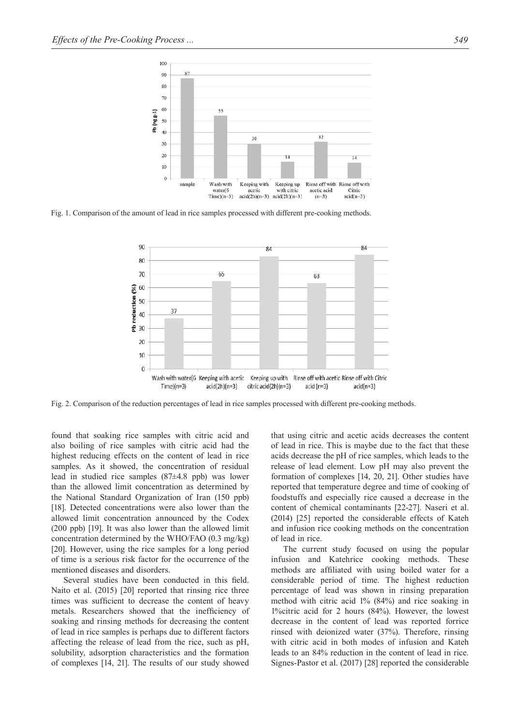

Fig. 1. Comparison of the amount of lead in rice samples processed with different pre-cooking methods.



Fig. 2. Comparison of the reduction percentages of lead in rice samples processed with different pre-cooking methods.

found that soaking rice samples with citric acid and also boiling of rice samples with citric acid had the highest reducing effects on the content of lead in rice samples. As it showed, the concentration of residual lead in studied rice samples (87±4.8 ppb) was lower than the allowed limit concentration as determined by the National Standard Organization of Iran (150 ppb) [18]. Detected concentrations were also lower than the allowed limit concentration announced by the Codex (200 ppb) [19]. It was also lower than the allowed limit concentration determined by the WHO/FAO (0.3 mg/kg) [20]. However, using the rice samples for a long period of time is a serious risk factor for the occurrence of the mentioned diseases and disorders.

Several studies have been conducted in this field. Naito et al. (2015) [20] reported that rinsing rice three times was sufficient to decrease the content of heavy metals. Researchers showed that the inefficiency of soaking and rinsing methods for decreasing the content of lead in rice samples is perhaps due to different factors affecting the release of lead from the rice, such as pH, solubility, adsorption characteristics and the formation of complexes [14, 21]. The results of our study showed that using citric and acetic acids decreases the content of lead in rice. This is maybe due to the fact that these acids decrease the pH of rice samples, which leads to the release of lead element. Low pH may also prevent the formation of complexes [14, 20, 21]. Other studies have reported that temperature degree and time of cooking of foodstuffs and especially rice caused a decrease in the content of chemical contaminants [22-27]. Naseri et al. (2014) [25] reported the considerable effects of Kateh and infusion rice cooking methods on the concentration of lead in rice.

The current study focused on using the popular infusion and Katehrice cooking methods. These methods are affiliated with using boiled water for a considerable period of time. The highest reduction percentage of lead was shown in rinsing preparation method with citric acid 1% (84%) and rice soaking in 1%citric acid for 2 hours (84%). However, the lowest decrease in the content of lead was reported forrice rinsed with deionized water (37%). Therefore, rinsing with citric acid in both modes of infusion and Kateh leads to an 84% reduction in the content of lead in rice. Signes-Pastor et al. (2017) [28] reported the considerable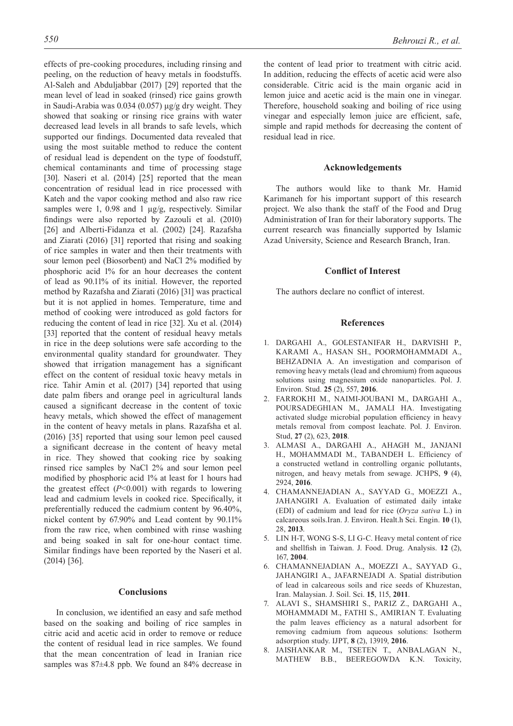effects of pre-cooking procedures, including rinsing and peeling, on the reduction of heavy metals in foodstuffs. Al-Saleh and Abduljabbar (2017) [29] reported that the mean level of lead in soaked (rinsed) rice gains growth in Saudi-Arabia was 0.034 (0.057) μg/g dry weight. They showed that soaking or rinsing rice grains with water decreased lead levels in all brands to safe levels, which supported our findings. Documented data revealed that using the most suitable method to reduce the content of residual lead is dependent on the type of foodstuff, chemical contaminants and time of processing stage [30]. Naseri et al. (2014) [25] reported that the mean concentration of residual lead in rice processed with Kateh and the vapor cooking method and also raw rice samples were 1, 0.98 and 1  $\mu$ g/g, respectively. Similar findings were also reported by Zazouli et al. (2010) [26] and Alberti-Fidanza et al. (2002) [24]. Razafsha and Ziarati (2016) [31] reported that rising and soaking of rice samples in water and then their treatments with sour lemon peel (Biosorbent) and NaCl 2% modified by phosphoric acid 1% for an hour decreases the content of lead as 90.11% of its initial. However, the reported method by Razafsha and Ziarati (2016) [31] was practical but it is not applied in homes. Temperature, time and method of cooking were introduced as gold factors for reducing the content of lead in rice [32]. Xu et al. (2014) [33] reported that the content of residual heavy metals in rice in the deep solutions were safe according to the environmental quality standard for groundwater. They showed that irrigation management has a significant effect on the content of residual toxic heavy metals in rice. Tahir Amin et al. (2017) [34] reported that using date palm fibers and orange peel in agricultural lands caused a significant decrease in the content of toxic heavy metals, which showed the effect of management in the content of heavy metals in plans. Razafsha et al. (2016) [35] reported that using sour lemon peel caused a significant decrease in the content of heavy metal in rice. They showed that cooking rice by soaking rinsed rice samples by NaCl 2% and sour lemon peel modified by phosphoric acid 1% at least for 1 hours had the greatest effect (*P*<0.001) with regards to lowering lead and cadmium levels in cooked rice. Specifically, it preferentially reduced the cadmium content by 96.40%, nickel content by 67.90% and Lead content by 90.11% from the raw rice, when combined with rinse washing and being soaked in salt for one-hour contact time. Similar findings have been reported by the Naseri et al. (2014) [36].

#### **Conclusions**

In conclusion, we identified an easy and safe method based on the soaking and boiling of rice samples in citric acid and acetic acid in order to remove or reduce the content of residual lead in rice samples. We found that the mean concentration of lead in Iranian rice samples was 87±4.8 ppb. We found an 84% decrease in

the content of lead prior to treatment with citric acid. In addition, reducing the effects of acetic acid were also considerable. Citric acid is the main organic acid in lemon juice and acetic acid is the main one in vinegar. Therefore, household soaking and boiling of rice using vinegar and especially lemon juice are efficient, safe, simple and rapid methods for decreasing the content of residual lead in rice.

#### **Acknowledgements**

The authors would like to thank Mr. Hamid Karimaneh for his important support of this research project. We also thank the staff of the Food and Drug Administration of Iran for their laboratory supports. The current research was financially supported by Islamic Azad University, Science and Research Branch, Iran.

#### **Conflict of Interest**

The authors declare no conflict of interest.

## **References**

- 1. DARGAHI A., GOLESTANIFAR H., DARVISHI P., KARAMI A., HASAN SH., POORMOHAMMADI A., BEHZADNIA A. An investigation and comparison of removing heavy metals (lead and chromium) from aqueous solutions using magnesium oxide nanoparticles. Pol. J. Environ. Stud. **25** (2), 557, **2016**.
- 2. FARROKHI M., NAIMI-JOUBANI M., DARGAHI A., POURSADEGHIAN M., JAMALI HA. Investigating activated sludge microbial population efficiency in heavy metals removal from compost leachate. Pol. J. Environ. Stud, **27** (2), 623, **2018**.
- 3. ALMASI A., DARGAHI A., AHAGH M., JANJANI H., MOHAMMADI M., TABANDEH L. Efficiency of a constructed wetland in controlling organic pollutants, nitrogen, and heavy metals from sewage. JCHPS, **9** (4), 2924, **2016**.
- 4. CHAMANNEJADIAN A., SAYYAD G., MOEZZI A., JAHANGIRI A. Evaluation of estimated daily intake (EDI) of cadmium and lead for rice (*Oryza sativa* L.) in calcareous soils.Iran. J. Environ. Healt.h Sci. Engin. **10** (1), 28, **2013**.
- 5. LIN H-T, WONG S-S, LI G-C. Heavy metal content of rice and shellfish in Taiwan. J. Food. Drug. Analysis. **12** (2), 167, **2004**.
- 6. CHAMANNEJADIAN A., MOEZZI A., SAYYAD G., JAHANGIRI A., JAFARNEJADI A. Spatial distribution of lead in calcareous soils and rice seeds of Khuzestan, Iran. Malaysian. J. Soil. Sci. **15**, 115, **2011**.
- 7. ALAVI S., SHAMSHIRI S., PARIZ Z., DARGAHI A., MOHAMMADI M., FATHI S., AMIRIAN T. Evaluating the palm leaves efficiency as a natural adsorbent for removing cadmium from aqueous solutions: Isotherm adsorption study. IJPT, **8** (2), 13919, **2016**.
- 8. JAISHANKAR M., TSETEN T., ANBALAGAN N., MATHEW B.B., BEEREGOWDA K.N. Toxicity,